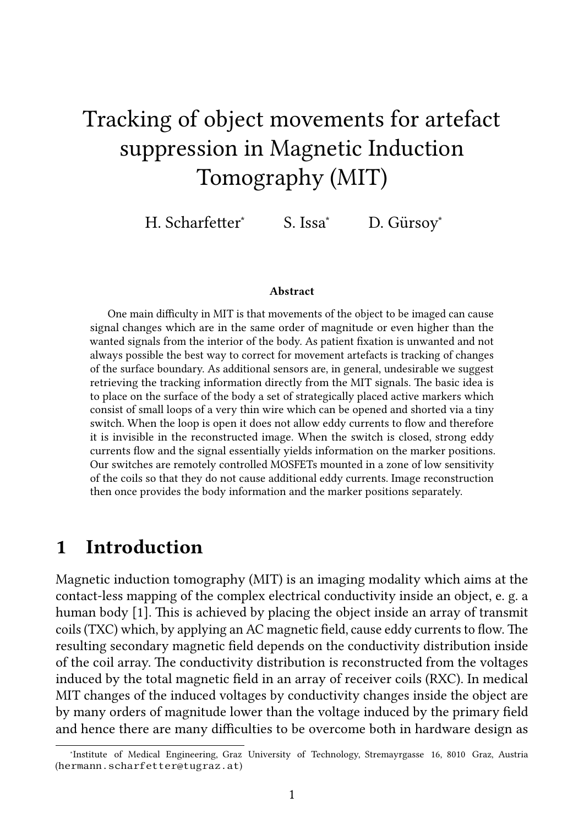# Tracking of object movements for artefact suppression in Magnetic Induction Tomography (MIT)

H. Scharfetter<sup>∗</sup> S. Issa<sup>∗</sup> D. Gürsoy\*

#### Abstract

One main difficulty in MIT is that movements of the object to be imaged can cause signal changes which are in the same order of magnitude or even higher than the wanted signals from the interior of the body. As patient fixation is unwanted and not always possible the best way to correct for movement artefacts is tracking of changes of the surface boundary. As additional sensors are, in general, undesirable we suggest retrieving the tracking information directly from the MIT signals. The basic idea is to place on the surface of the body a set of strategically placed active markers which consist of small loops of a very thin wire which can be opened and shorted via a tiny switch. When the loop is open it does not allow eddy currents to flow and therefore it is invisible in the reconstructed image. When the switch is closed, strong eddy currents flow and the signal essentially yields information on the marker positions. Our switches are remotely controlled MOSFETs mounted in a zone of low sensitivity of the coils so that they do not cause additional eddy currents. Image reconstruction then once provides the body information and the marker positions separately.

### 1 Introduction

Magnetic induction tomography (MIT) is an imaging modality which aims at the contact-less mapping of the complex electrical conductivity inside an object, e. g. a human body [1]. This is achieved by placing the object inside an array of transmit coils (TXC) which, by applying an AC magnetic field, cause eddy currents to flow. The resulting secondary magnetic field depends on the conductivity distribution inside of the coil array. The conductivity distribution is reconstructed from the voltages induced by the total magnetic field in an array of receiver coils (RXC). In medical MIT changes of the induced voltages by conductivity changes inside the object are by many orders of magnitude lower than the voltage induced by the primary field and hence there are many difficulties to be overcome both in hardware design as

<sup>∗</sup> Institute of Medical Engineering, Graz University of Technology, Stremayrgasse 16, 8010 Graz, Austria (hermann.scharfetter@tugraz.at)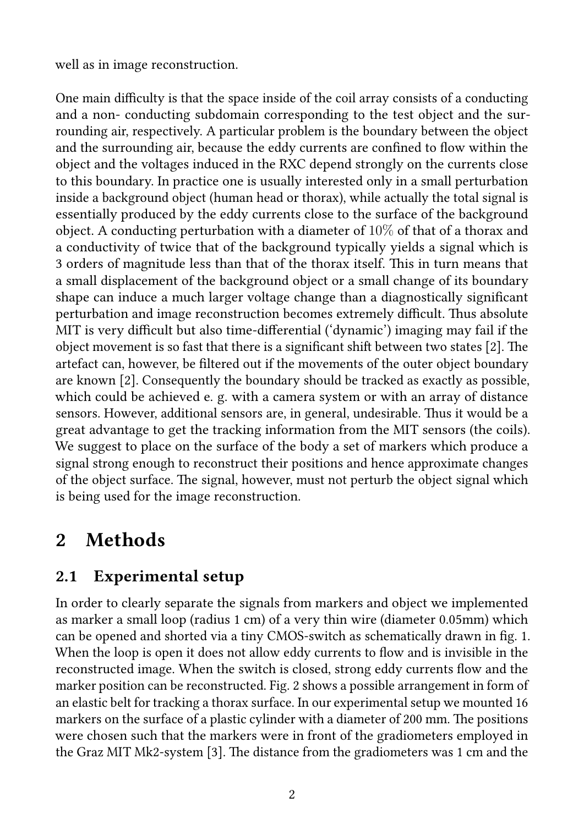well as in image reconstruction.

One main difficulty is that the space inside of the coil array consists of a conducting and a non- conducting subdomain corresponding to the test object and the surrounding air, respectively. A particular problem is the boundary between the object and the surrounding air, because the eddy currents are confined to flow within the object and the voltages induced in the RXC depend strongly on the currents close to this boundary. In practice one is usually interested only in a small perturbation inside a background object (human head or thorax), while actually the total signal is essentially produced by the eddy currents close to the surface of the background object. A conducting perturbation with a diameter of 10% of that of a thorax and a conductivity of twice that of the background typically yields a signal which is 3 orders of magnitude less than that of the thorax itself. This in turn means that a small displacement of the background object or a small change of its boundary shape can induce a much larger voltage change than a diagnostically significant perturbation and image reconstruction becomes extremely difficult. Thus absolute MIT is very difficult but also time-differential ('dynamic') imaging may fail if the object movement is so fast that there is a significant shift between two states  $[2]$ . The artefact can, however, be filtered out if the movements of the outer object boundary are known [2]. Consequently the boundary should be tracked as exactly as possible, which could be achieved e. g. with a camera system or with an array of distance sensors. However, additional sensors are, in general, undesirable. Thus it would be a great advantage to get the tracking information from the MIT sensors (the coils). We suggest to place on the surface of the body a set of markers which produce a signal strong enough to reconstruct their positions and hence approximate changes of the object surface. The signal, however, must not perturb the object signal which is being used for the image reconstruction.

### 2 Methods

#### 2.1 Experimental setup

In order to clearly separate the signals from markers and object we implemented as marker a small loop (radius 1 cm) of a very thin wire (diameter 0.05mm) which can be opened and shorted via a tiny CMOS-switch as schematically drawn in fig. 1. When the loop is open it does not allow eddy currents to flow and is invisible in the reconstructed image. When the switch is closed, strong eddy currents flow and the marker position can be reconstructed. Fig. 2 shows a possible arrangement in form of an elastic belt for tracking a thorax surface. In our experimental setup we mounted 16 markers on the surface of a plastic cylinder with a diameter of 200 mm. The positions were chosen such that the markers were in front of the gradiometers employed in the Graz MIT Mk2-system [3]. The distance from the gradiometers was 1 cm and the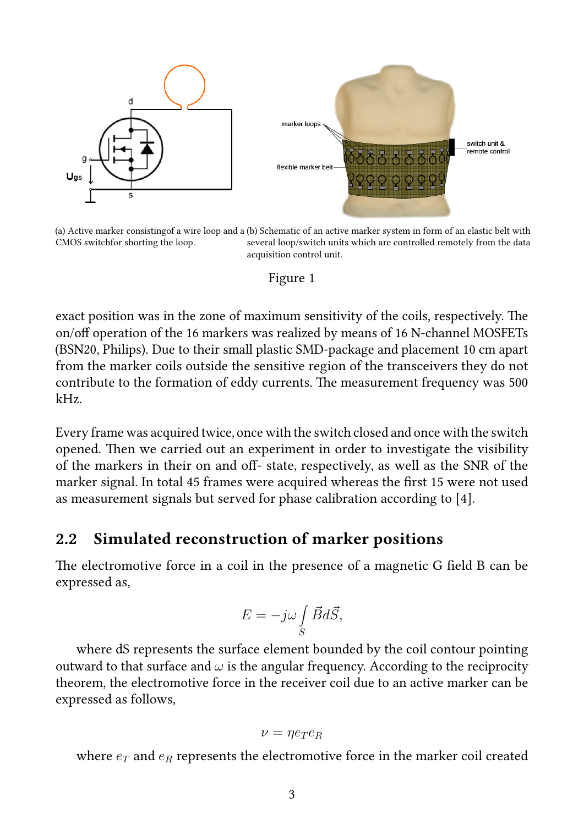

(a) Active marker consistingof a wire loop and a (b) Schematic of an active marker system in form of an elastic belt with CMOS switchfor shorting the loop. several loop/switch units which are controlled remotely from the data acquisition control unit.

#### Figure 1

exact position was in the zone of maximum sensitivity of the coils, respectively. The on/off operation of the 16 markers was realized by means of 16 N-channel MOSFETs (BSN20, Philips). Due to their small plastic SMD-package and placement 10 cm apart from the marker coils outside the sensitive region of the transceivers they do not contribute to the formation of eddy currents. The measurement frequency was 500 kHz.

Every frame was acquired twice, once with the switch closed and once with the switch opened. Then we carried out an experiment in order to investigate the visibility of the markers in their on and off- state, respectively, as well as the SNR of the marker signal. In total 45 frames were acquired whereas the first 15 were not used as measurement signals but served for phase calibration according to [4].

#### 2.2 Simulated reconstruction of marker positions

The electromotive force in a coil in the presence of a magnetic G field B can be expressed as,

$$
E = -j\omega \int\limits_{S} \vec{B}d\vec{S},
$$

where dS represents the surface element bounded by the coil contour pointing outward to that surface and  $\omega$  is the angular frequency. According to the reciprocity theorem, the electromotive force in the receiver coil due to an active marker can be expressed as follows,

$$
\nu = \eta e_T e_R
$$

where  $e_T$  and  $e_R$  represents the electromotive force in the marker coil created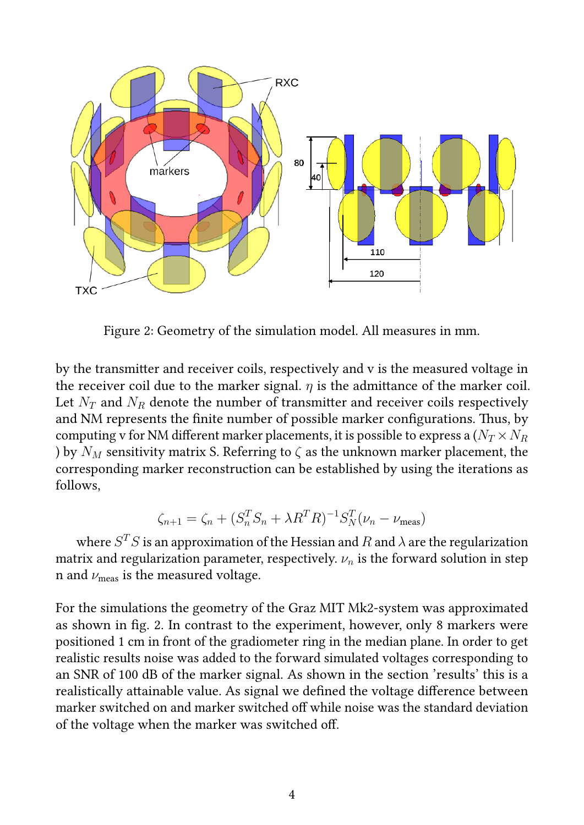

Figure 2: Geometry of the simulation model. All measures in mm.

by the transmitter and receiver coils, respectively and v is the measured voltage in the receiver coil due to the marker signal.  $\eta$  is the admittance of the marker coil. Let  $N_T$  and  $N_R$  denote the number of transmitter and receiver coils respectively and NM represents the finite number of possible marker configurations. Thus, by computing v for NM different marker placements, it is possible to express a ( $N_T \times N_R$ ) ) by  $N_M$  sensitivity matrix S. Referring to  $\zeta$  as the unknown marker placement, the corresponding marker reconstruction can be established by using the iterations as follows,

$$
\zeta_{n+1} = \zeta_n + (S_n^T S_n + \lambda R^T R)^{-1} S_N^T (\nu_n - \nu_{\text{meas}})
$$

where  $S^{T}S$  is an approximation of the Hessian and  $R$  and  $\lambda$  are the regularization matrix and regularization parameter, respectively.  $\nu_n$  is the forward solution in step n and  $\nu_{\rm meas}$  is the measured voltage.

For the simulations the geometry of the Graz MIT Mk2-system was approximated as shown in fig. 2. In contrast to the experiment, however, only 8 markers were positioned 1 cm in front of the gradiometer ring in the median plane. In order to get realistic results noise was added to the forward simulated voltages corresponding to an SNR of 100 dB of the marker signal. As shown in the section 'results' this is a realistically attainable value. As signal we defined the voltage difference between marker switched on and marker switched off while noise was the standard deviation of the voltage when the marker was switched off.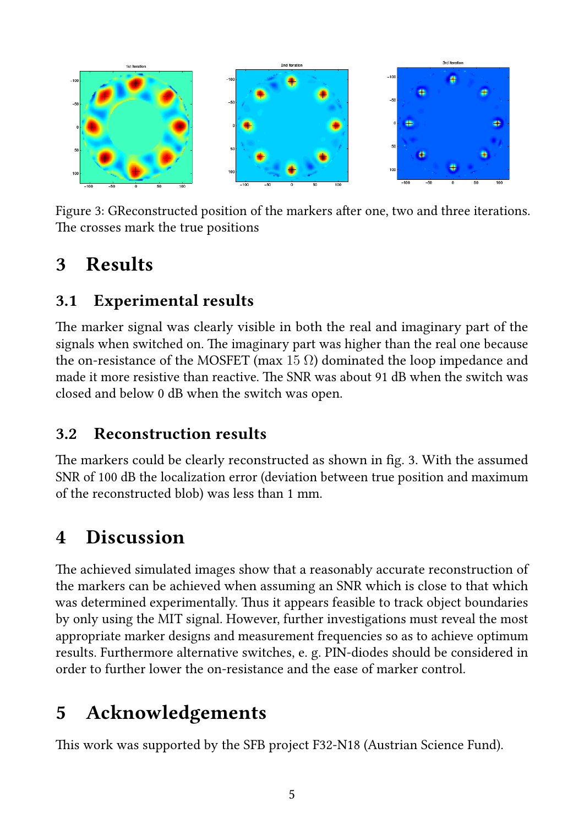

Figure 3: GReconstructed position of the markers after one, two and three iterations. The crosses mark the true positions

### 3 Results

### 3.1 Experimental results

The marker signal was clearly visible in both the real and imaginary part of the signals when switched on. The imaginary part was higher than the real one because the on-resistance of the MOSFET (max 15  $\Omega$ ) dominated the loop impedance and made it more resistive than reactive. The SNR was about 91 dB when the switch was closed and below 0 dB when the switch was open.

### 3.2 Reconstruction results

The markers could be clearly reconstructed as shown in fig. 3. With the assumed SNR of 100 dB the localization error (deviation between true position and maximum of the reconstructed blob) was less than 1 mm.

## 4 Discussion

The achieved simulated images show that a reasonably accurate reconstruction of the markers can be achieved when assuming an SNR which is close to that which was determined experimentally. Thus it appears feasible to track object boundaries by only using the MIT signal. However, further investigations must reveal the most appropriate marker designs and measurement frequencies so as to achieve optimum results. Furthermore alternative switches, e. g. PIN-diodes should be considered in order to further lower the on-resistance and the ease of marker control.

## 5 Acknowledgements

This work was supported by the SFB project F32-N18 (Austrian Science Fund).